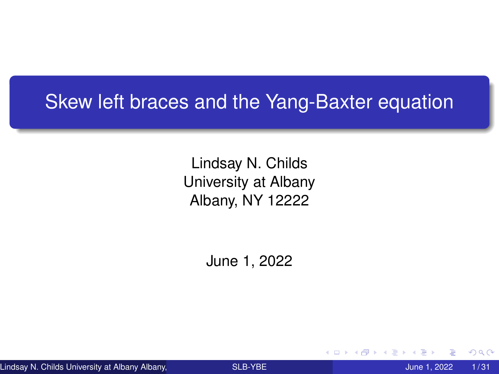### <span id="page-0-0"></span>Skew left braces and the Yang-Baxter equation

Lindsay N. Childs University at Albany Albany, NY 12222

June 1, 2022

Lindsay N. Childs University at Albany Albany, North Company [SLB-YBE](#page-30-0) June 1, 2022 1/31

つへへ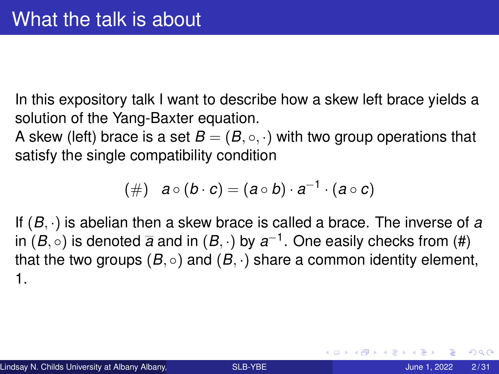In this expository talk I want to describe how a skew left brace yields a solution of the Yang-Baxter equation.

A skew (left) brace is a set  $B = (B, \circ, \cdot)$  with two group operations that satisfy the single compatibility condition

$$
(\#) \quad a \circ (b \cdot c) = (a \circ b) \cdot a^{-1} \cdot (a \circ c)
$$

If (*B*, ·) is abelian then a skew brace is called a brace. The inverse of *a* in  $(B,\circ)$  is denoted  $\overline{a}$  and in  $(B,\cdot)$  by  $a^{-1}.$  One easily checks from (#) that the two groups  $(B, \circ)$  and  $(B, \cdot)$  share a common identity element, 1.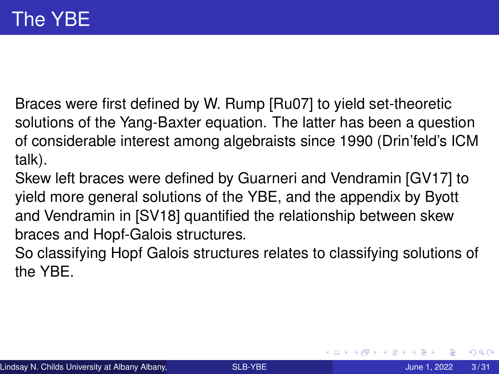Braces were first defined by W. Rump [Ru07] to yield set-theoretic solutions of the Yang-Baxter equation. The latter has been a question of considerable interest among algebraists since 1990 (Drin'feld's ICM talk).

- Skew left braces were defined by Guarneri and Vendramin [GV17] to yield more general solutions of the YBE, and the appendix by Byott and Vendramin in [SV18] quantified the relationship between skew braces and Hopf-Galois structures.
- So classifying Hopf Galois structures relates to classifying solutions of the YBE.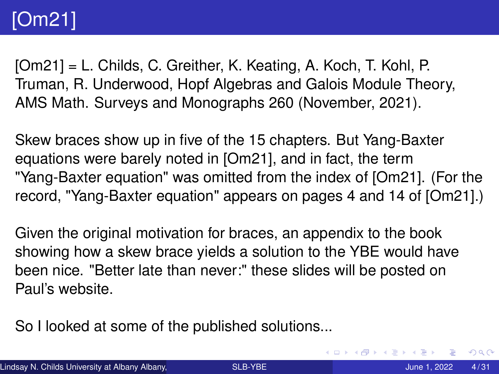# [Om21]

[Om21] = L. Childs, C. Greither, K. Keating, A. Koch, T. Kohl, P. Truman, R. Underwood, Hopf Algebras and Galois Module Theory, AMS Math. Surveys and Monographs 260 (November, 2021).

Skew braces show up in five of the 15 chapters. But Yang-Baxter equations were barely noted in [Om21], and in fact, the term "Yang-Baxter equation" was omitted from the index of [Om21]. (For the record, "Yang-Baxter equation" appears on pages 4 and 14 of [Om21].)

Given the original motivation for braces, an appendix to the book showing how a skew brace yields a solution to the YBE would have been nice. "Better late than never:" these slides will be posted on Paul's website.

So I looked at some of the published solutions...

 $QQ$ 

(ロトイ部)→(差)→(差)→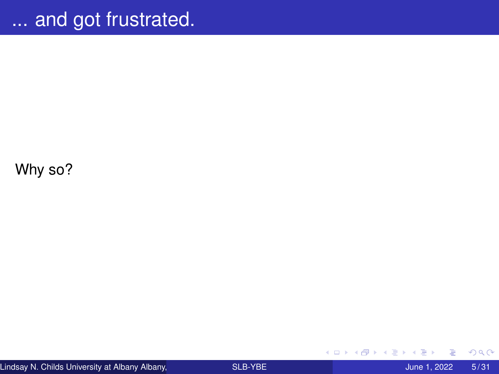Why so?

 $299$ 

**←ロ ▶ ← 伊 ▶** 

一 ( ) ( )

× Ξ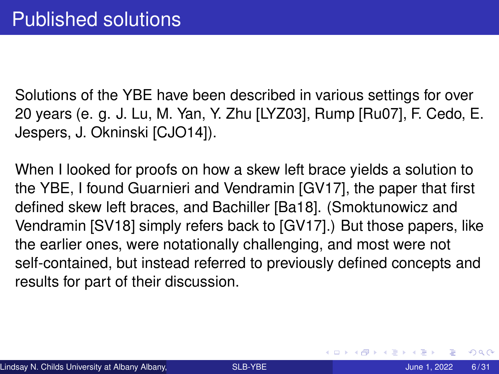Solutions of the YBE have been described in various settings for over 20 years (e. g. J. Lu, M. Yan, Y. Zhu [LYZ03], Rump [Ru07], F. Cedo, E. Jespers, J. Okninski [CJO14]).

When I looked for proofs on how a skew left brace yields a solution to the YBE, I found Guarnieri and Vendramin [GV17], the paper that first defined skew left braces, and Bachiller [Ba18]. (Smoktunowicz and Vendramin [SV18] simply refers back to [GV17].) But those papers, like the earlier ones, were notationally challenging, and most were not self-contained, but instead referred to previously defined concepts and results for part of their discussion.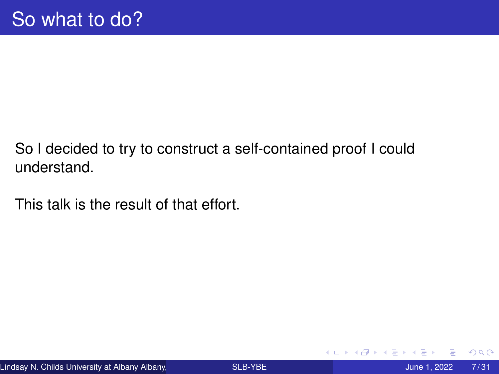So I decided to try to construct a self-contained proof I could understand.

This talk is the result of that effort.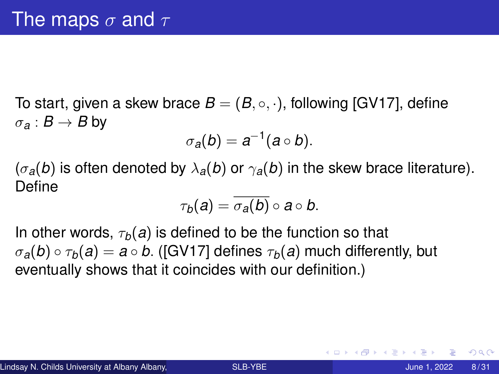To start, given a skew brace  $B = (B, \circ, \cdot)$ , following [GV17], define  $\sigma_{\mathbf{a}} : \mathbf{B} \to \mathbf{B}$  by

$$
\sigma_a(b)=a^{-1}(a\circ b).
$$

 $(\sigma_a(b)$  is often denoted by  $\lambda_a(b)$  or  $\gamma_a(b)$  in the skew brace literature). Define

$$
\tau_b(a)=\overline{\sigma_a(b)}\circ a\circ b.
$$

In other words,  $\tau_b(a)$  is defined to be the function so that  $\sigma_a(b) \circ \tau_b(a) = a \circ b$ . ([GV17] defines  $\tau_b(a)$  much differently, but eventually shows that it coincides with our definition.)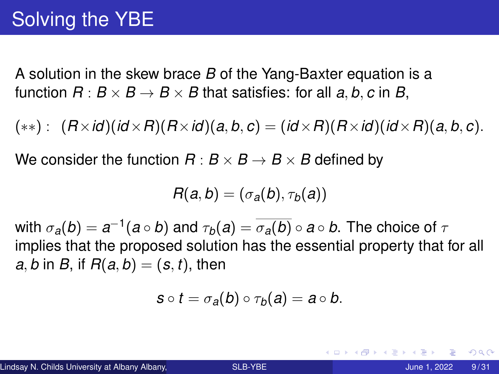A solution in the skew brace *B* of the Yang-Baxter equation is a function  $R: B \times B \rightarrow B \times B$  that satisfies: for all a, b, c in B,

 $(\ast \ast)$ :  $(R \times id)(id \times R)(R \times id)(a, b, c) = (id \times R)(R \times id)(id \times R)(a, b, c).$ 

We consider the function  $R : B \times B \to B \times B$  defined by

$$
R(a,b)=(\sigma_a(b),\tau_b(a))
$$

with  $\sigma_{\bm{a}}(\bm{b})=\bm{a}^{-1}(\bm{a}\circ\bm{b})$  and  $\tau_{\bm{b}}(\bm{a})=\overline{\sigma_{\bm{a}}(\bm{b})}\circ\bm{a}\circ\bm{b}.$  The choice of  $\tau$ implies that the proposed solution has the essential property that for all *a*, *b* in *B*, if  $R(a, b) = (s, t)$ , then

$$
s\circ t=\sigma_{a}(b)\circ\tau_{b}(a)=a\circ b.
$$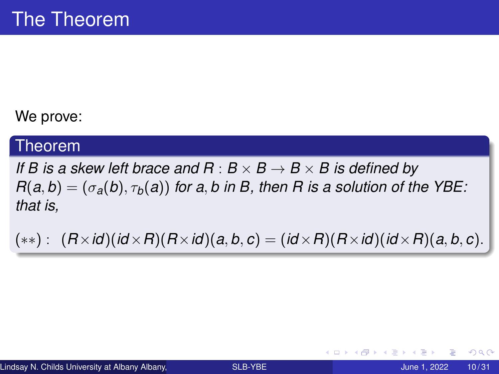#### We prove:

#### Theorem

*If B is a skew left brace and R* :  $B \times B \rightarrow B \times B$  *is defined by*  $R(a, b) = (\sigma_a(b), \tau_b(a))$  *for a, b in B, then R is a solution of the YBE: that is,*

 $(\ast \ast)$  :  $(R \times id)(id \times R)(R \times id)(a, b, c) = (id \times R)(R \times id)(id \times R)(a, b, c).$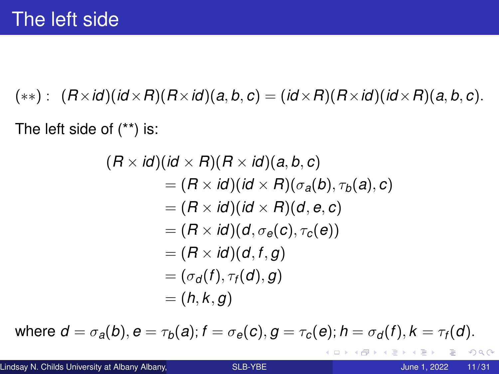$(**)$ :  $(R \times id)(id \times R)(R \times id)(a, b, c) = (id \times R)(R \times id)(id \times R)(a, b, c).$ 

The left side of (\*\*) is:

$$
(R \times id)(id \times R)(R \times id)(a, b, c)
$$
  
= (R \times id)(id \times R)(\sigma\_a(b), \tau\_b(a), c)  
= (R \times id)(id \times R)(d, e, c)  
= (R \times id)(d, \sigma\_e(c), \tau\_c(e))  
= (R \times id)(d, f, g)  
= (\sigma\_d(f), \tau\_f(d), g)  
= (h, k, g)

where  $d = \sigma_a(b)$ ,  $e = \tau_b(a)$ ;  $f = \sigma_e(c)$ ,  $g = \tau_c(e)$ ;  $h = \sigma_d(f)$ ,  $k = \tau_f(d)$ .

KEX E DAG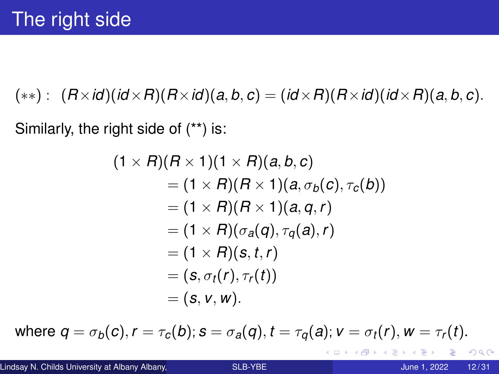$(\ast \ast)$ :  $(R \times id)(id \times R)(R \times id)(a, b, c) = (id \times R)(R \times id)(id \times R)(a, b, c).$ 

Similarly, the right side of (\*\*) is:

$$
(1 \times R)(R \times 1)(1 \times R)(a, b, c)
$$
  
= (1 \times R)(R \times 1)(a, \sigma\_b(c), \tau\_c(b))  
= (1 \times R)(R \times 1)(a, q, r)  
= (1 \times R)(\sigma\_a(q), \tau\_q(a), r)  
= (1 \times R)(s, t, r)  
= (s, \sigma\_t(r), \tau\_r(t))  
= (s, v, w).

where  $q = \sigma_b(c)$ ,  $r = \tau_c(b)$ ;  $s = \sigma_a(q)$ ,  $t = \tau_a(a)$ ;  $v = \sigma_t(r)$ ,  $w = \tau_r(t)$ .

K ロ ▶ K 個 ▶ K 로 ▶ K 로 ▶ - 로 - K 9 Q @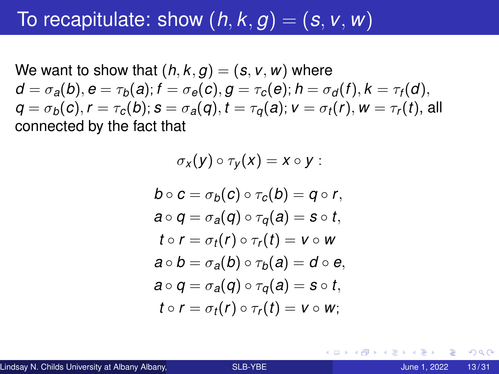### To recapitulate: show  $(h, k, g) = (s, v, w)$

We want to show that  $(h, k, g) = (s, v, w)$  where  $d = \sigma_a(b), e = \tau_b(a); f = \sigma_e(c), q = \tau_c(e); h = \sigma_d(f), k = \tau_f(d),$  $q = \sigma_b(c)$ ,  $r = \tau_c(b)$ ;  $s = \sigma_a(q)$ ,  $t = \tau_a(a)$ ;  $v = \sigma_t(r)$ ,  $w = \tau_r(t)$ , all connected by the fact that

$$
\sigma_x(y) \circ \tau_y(x) = x \circ y:
$$
  
\n
$$
b \circ c = \sigma_b(c) \circ \tau_c(b) = q \circ r,
$$
  
\n
$$
a \circ q = \sigma_a(q) \circ \tau_q(a) = s \circ t,
$$
  
\n
$$
t \circ r = \sigma_t(r) \circ \tau_r(t) = v \circ w
$$

$$
a \circ b = \sigma_a(b) \circ \tau_b(a) = d \circ e,
$$
  
\n
$$
a \circ q = \sigma_a(q) \circ \tau_q(a) = s \circ t,
$$
  
\n
$$
t \circ r = \sigma_t(r) \circ \tau_r(t) = v \circ w;
$$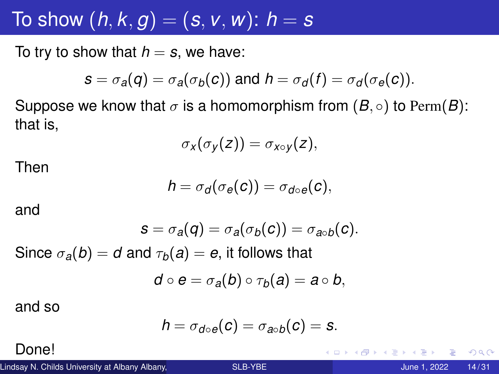## To show  $(h, k, g) = (s, v, w)$ :  $h = s$

To try to show that  $h = s$ , we have:

$$
s = \sigma_a(q) = \sigma_a(\sigma_b(c))
$$
 and  $h = \sigma_d(f) = \sigma_d(\sigma_e(c)).$ 

Suppose we know that  $\sigma$  is a homomorphism from  $(B, \circ)$  to Perm $(B)$ : that is,

$$
\sigma_X(\sigma_Y(z))=\sigma_{X\circ Y}(z),
$$

Then

$$
h=\sigma_d(\sigma_e(c))=\sigma_{d\circ e}(c),
$$

and

$$
s = \sigma_a(q) = \sigma_a(\sigma_b(c)) = \sigma_{a \circ b}(c).
$$

Since  $\sigma_a(b) = d$  and  $\tau_b(a) = e$ , it follows that

$$
d\circ e=\sigma_a(b)\circ\tau_b(a)=a\circ b,
$$

and so

$$
h=\sigma_{d\circ e}(c)=\sigma_{a\circ b}(c)=s.
$$

Done!

Lindsay N. Childs University at Albany Albany, Nicolas Company [SLB-YBE](#page-0-0) June 1, 2022 14/31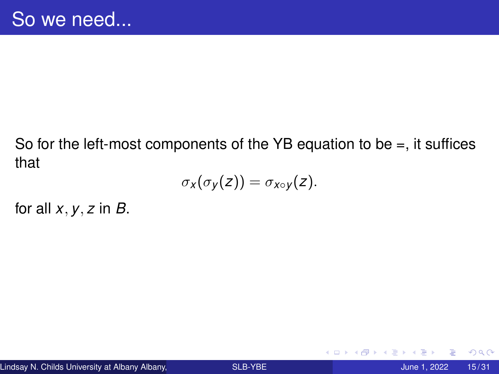### So for the left-most components of the YB equation to be  $=$ , it suffices that

$$
\sigma_{X}(\sigma_{Y}(z))=\sigma_{X\circ Y}(z).
$$

for all *x*, *y*, *z* in *B*.

4 0 8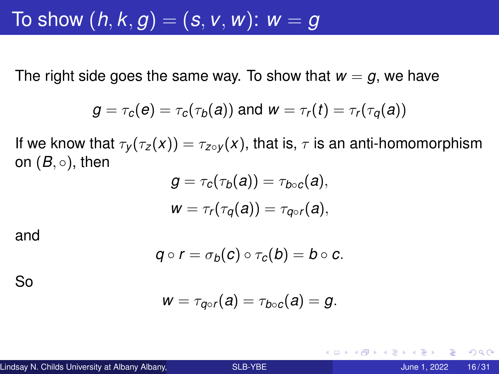To show  $(h, k, g) = (s, v, w)$ :  $w = g$ 

The right side goes the same way. To show that  $w = g$ , we have

$$
g = \tau_c(e) = \tau_c(\tau_b(a))
$$
 and 
$$
w = \tau_r(t) = \tau_r(\tau_q(a))
$$

If we know that  $\tau_y(\tau_z(x)) = \tau_{z \circ y}(x)$ , that is,  $\tau$  is an anti-homomorphism on  $(B, \circ)$ , then

$$
g = \tau_c(\tau_b(a)) = \tau_{b \circ c}(a),
$$
  

$$
w = \tau_r(\tau_q(a)) = \tau_{q \circ r}(a),
$$

and

$$
q\circ r=\sigma_b(c)\circ \tau_c(b)=b\circ c.
$$

So

$$
w=\tau_{q\circ r}(a)=\tau_{b\circ c}(a)=g.
$$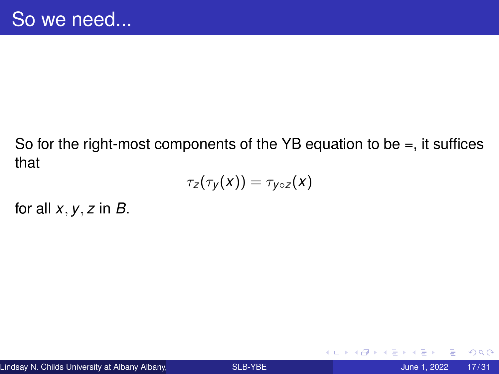#### So for the right-most components of the YB equation to be  $=$ , it suffices that

$$
\tau_Z(\tau_y(x))=\tau_{y\circ Z}(x)
$$

for all *x*, *y*, *z* in *B*.

4 0 8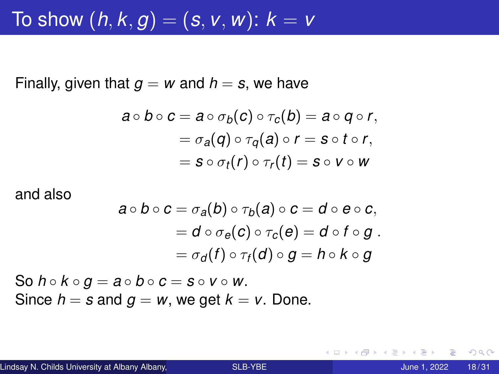### To show  $(h, k, g) = (s, v, w)$ :  $k = v$

Finally, given that  $g = w$  and  $h = s$ , we have

$$
a \circ b \circ c = a \circ \sigma_b(c) \circ \tau_c(b) = a \circ q \circ r,
$$
  
=  $\sigma_a(q) \circ \tau_q(a) \circ r = s \circ t \circ r,$   
=  $s \circ \sigma_t(r) \circ \tau_r(t) = s \circ v \circ w$ 

and also

$$
a \circ b \circ c = \sigma_a(b) \circ \tau_b(a) \circ c = d \circ e \circ c,
$$
  
=  $d \circ \sigma_e(c) \circ \tau_c(e) = d \circ f \circ g$ .  
=  $\sigma_d(f) \circ \tau_f(d) \circ g = h \circ k \circ g$ 

So  $h \circ k \circ g = a \circ b \circ c = s \circ v \circ w$ . Since  $h = s$  and  $g = w$ , we get  $k = v$ . Done.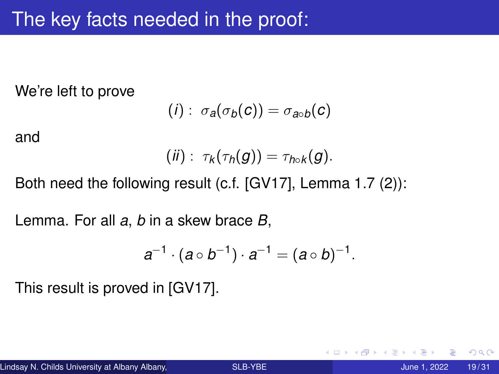We're left to prove

$$
(i): \sigma_a(\sigma_b(c)) = \sigma_{a \circ b}(c)
$$

and

$$
(ii): \tau_k(\tau_h(g))=\tau_{h\circ k}(g).
$$

Both need the following result (c.f. [GV17], Lemma 1.7 (2)):

Lemma. For all *a*, *b* in a skew brace *B*,

$$
a^{-1}\cdot (a\circ b^{-1})\cdot a^{-1}=(a\circ b)^{-1}.
$$

This result is proved in [GV17].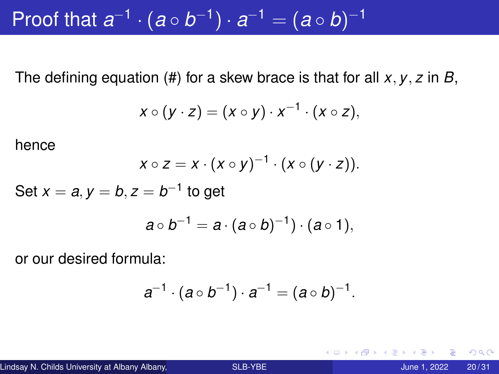Proof that  $a^{-1} \cdot (a \circ b^{-1}) \cdot a^{-1} = (a \circ b)^{-1}$ 

The defining equation (#) for a skew brace is that for all *x*, *y*, *z* in *B*,

$$
x\circ (y\cdot z)=(x\circ y)\cdot x^{-1}\cdot (x\circ z),
$$

hence

$$
x\circ z=x\cdot(x\circ y)^{-1}\cdot(x\circ (y\cdot z)).
$$

Set  $x = a, y = b, z = b^{-1}$  to get

$$
a\circ b^{-1}=a\cdot (a\circ b)^{-1})\cdot (a\circ 1),
$$

or our desired formula:

$$
a^{-1}\cdot (a\circ b^{-1})\cdot a^{-1}=(a\circ b)^{-1}.
$$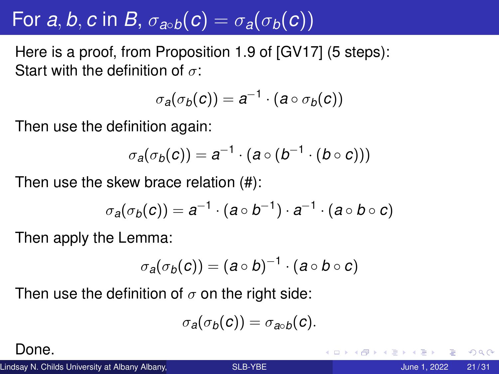# For *a*, *b*, *c* in *B*,  $\sigma_{a \circ b}(c) = \sigma_a(\sigma_b(c))$

Here is a proof, from Proposition 1.9 of [GV17] (5 steps): Start with the definition of  $\sigma$ :

$$
\sigma_a(\sigma_b(c))=a^{-1}\cdot(a\circ\sigma_b(c))
$$

Then use the definition again:

$$
\sigma_a(\sigma_b(c)) = a^{-1} \cdot (a \circ (b^{-1} \cdot (b \circ c)))
$$

Then use the skew brace relation (#):

$$
\sigma_a(\sigma_b(c))=a^{-1}\cdot(a\circ b^{-1})\cdot a^{-1}\cdot(a\circ b\circ c)
$$

Then apply the Lemma:

$$
\sigma_a(\sigma_b(c))=(a\circ b)^{-1}\cdot(a\circ b\circ c)
$$

Then use the definition of  $\sigma$  on the right side:

$$
\sigma_a(\sigma_b(c))=\sigma_{a\circ b}(c).
$$

Done.

Lindsay N. Childs University at Albany Albany, North Company [SLB-YBE](#page-0-0) The Company of the Company of the Visit of the SLB-YBE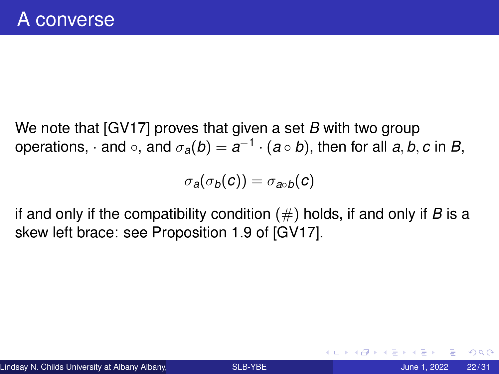We note that [GV17] proves that given a set *B* with two group  $\mathsf{operations},\cdot\mathsf{and}\circ,\mathsf{and}\;\sigma_\mathsf{a}(\mathsf{b})=\mathsf{a}^{-1}\cdot(\mathsf{a}\circ\mathsf{b}),$  then for all  $\mathsf{a},\mathsf{b},\mathsf{c}$  in  $\mathsf{B},$ 

$$
\sigma_a(\sigma_b(c))=\sigma_{a\circ b}(c)
$$

if and only if the compatibility condition (#) holds, if and only if *B* is a skew left brace: see Proposition 1.9 of [GV17].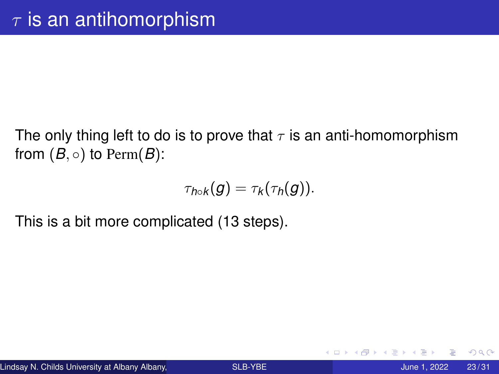The only thing left to do is to prove that  $\tau$  is an anti-homomorphism from  $(B, \circ)$  to Perm $(B)$ :

$$
\tau_{h\circ k}(g)=\tau_k(\tau_h(g)).
$$

This is a bit more complicated (13 steps).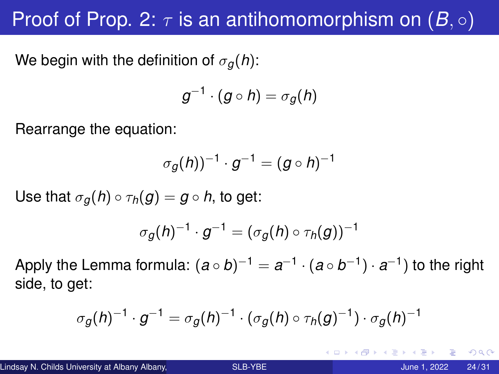## Proof of Prop. 2:  $\tau$  is an antihomomorphism on  $(B, \circ)$

We begin with the definition of  $\sigma_q(h)$ :

$$
g^{-1}\cdot (g\circ h)=\sigma_g(h)
$$

Rearrange the equation:

$$
\sigma_g(h))^{-1} \cdot g^{-1} = (g \circ h)^{-1}
$$

Use that  $\sigma_q(h) \circ \tau_h(g) = g \circ h$ , to get:

$$
\sigma_g(h)^{-1}\cdot g^{-1}=(\sigma_g(h)\circ\tau_h(g))^{-1}
$$

Apply the Lemma formula:  $(a \circ b)^{-1} = a^{-1} \cdot (a \circ b^{-1}) \cdot a^{-1}$  to the right side, to get:

$$
\sigma_g(h)^{-1}\cdot g^{-1}=\sigma_g(h)^{-1}\cdot(\sigma_g(h)\circ\tau_h(g)^{-1})\cdot\sigma_g(h)^{-1}
$$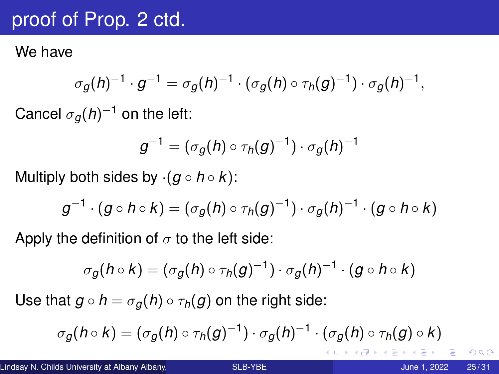### proof of Prop. 2 ctd.

We have

$$
\sigma_g(h)^{-1} \cdot g^{-1} = \sigma_g(h)^{-1} \cdot (\sigma_g(h) \circ \tau_h(g)^{-1}) \cdot \sigma_g(h)^{-1},
$$

Cancel  $\sigma_{\bm{g}}(h)^{-1}$  on the left:

$$
g^{-1}=(\sigma_g(h)\circ\tau_h(g)^{-1})\cdot\sigma_g(h)^{-1}
$$

Multiply both sides by  $\cdot$   $(g \circ h \circ k)$ :

$$
g^{-1}\cdot (g\circ h\circ k)=(\sigma_g(h)\circ \tau_h(g)^{-1})\cdot \sigma_g(h)^{-1}\cdot (g\circ h\circ k)
$$

Apply the definition of  $\sigma$  to the left side:

$$
\sigma_g(h \circ k) = (\sigma_g(h) \circ \tau_h(g)^{-1}) \cdot \sigma_g(h)^{-1} \cdot (g \circ h \circ k)
$$

Use that  $g \circ h = \sigma_q(h) \circ \tau_h(g)$  on the right side:

$$
\sigma_g(h \circ k) = (\sigma_g(h) \circ \tau_h(g)^{-1}) \cdot \sigma_g(h)^{-1} \cdot (\sigma_g(h) \circ \tau_h(g) \circ k)
$$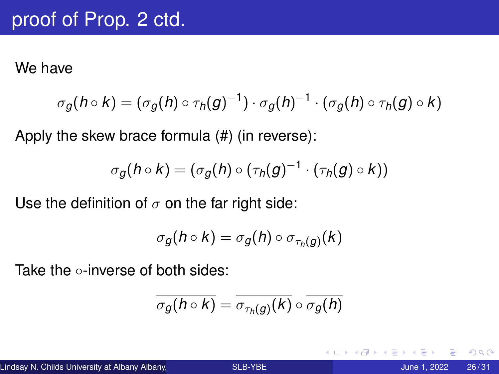We have

$$
\sigma_g(h \circ k) = (\sigma_g(h) \circ \tau_h(g)^{-1}) \cdot \sigma_g(h)^{-1} \cdot (\sigma_g(h) \circ \tau_h(g) \circ k)
$$

Apply the skew brace formula (#) (in reverse):

$$
\sigma_g(h \circ k) = (\sigma_g(h) \circ (\tau_h(g)^{-1} \cdot (\tau_h(g) \circ k))
$$

Use the definition of  $\sigma$  on the far right side:

$$
\sigma_g(h \circ k) = \sigma_g(h) \circ \sigma_{\tau_h(g)}(k)
$$

Take the ⊙-inverse of both sides:

$$
\overline{\sigma_{g}(h\circ k)}=\overline{\sigma_{\tau_{h}(g)}(k)}\circ\overline{\sigma_{g}(h)}
$$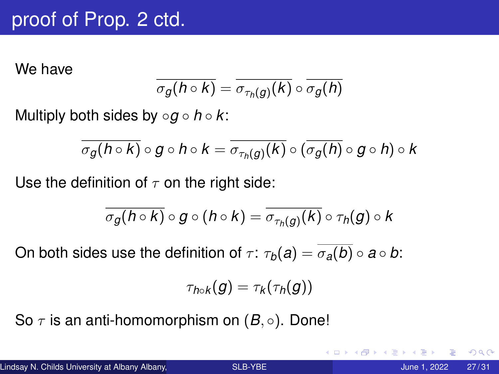### proof of Prop. 2 ctd.

We have

$$
\overline{\sigma_{g}(h\circ k)}=\overline{\sigma_{\tau_{h}(g)}(k)}\circ\overline{\sigma_{g}(h)}
$$

Multiply both sides by ◦*g* ◦ *h* ◦ *k*:

$$
\overline{\sigma_{g}(h\circ\kappa)}\circ g\circ h\circ k=\overline{\sigma_{\tau_{h}(g)}(\kappa)}\circ (\overline{\sigma_{g}(h)}\circ g\circ h)\circ k
$$

Use the definition of  $\tau$  on the right side:

$$
\overline{\sigma_g(h\circ k)}\circ g\circ (h\circ k)=\overline{\sigma_{\tau_h(g)}(k)}\circ \tau_h(g)\circ k
$$

On both sides use the definition of  $\tau$ :  $\tau_b(a) = \overline{\sigma_a(b)} \circ a \circ b$ :

$$
\tau_{h\circ k}(g)=\tau_k(\tau_h(g))
$$

So  $\tau$  is an anti-homomorphism on  $(B, \circ)$ . Done!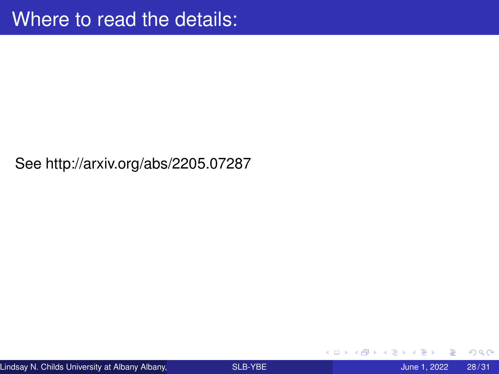See http://arxiv.org/abs/2205.07287

4 0 8

 $\sim$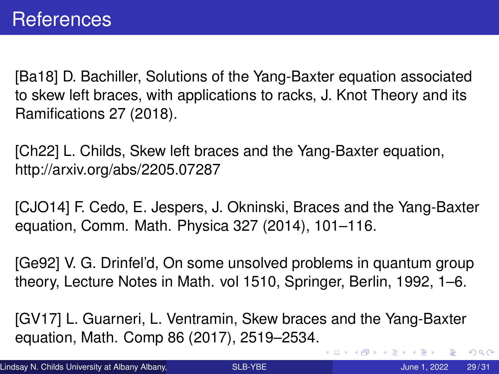[Ba18] D. Bachiller, Solutions of the Yang-Baxter equation associated to skew left braces, with applications to racks, J. Knot Theory and its Ramifications 27 (2018).

[Ch22] L. Childs, Skew left braces and the Yang-Baxter equation, http://arxiv.org/abs/2205.07287

[CJO14] F. Cedo, E. Jespers, J. Okninski, Braces and the Yang-Baxter equation, Comm. Math. Physica 327 (2014), 101–116.

[Ge92] V. G. Drinfel'd, On some unsolved problems in quantum group theory, Lecture Notes in Math. vol 1510, Springer, Berlin, 1992, 1–6.

[GV17] L. Guarneri, L. Ventramin, Skew braces and the Yang-Baxter equation, Math. Comp 86 (2017), 2519–2534.

 $299$ 

イロト イ押ト イヨト イヨト ニヨ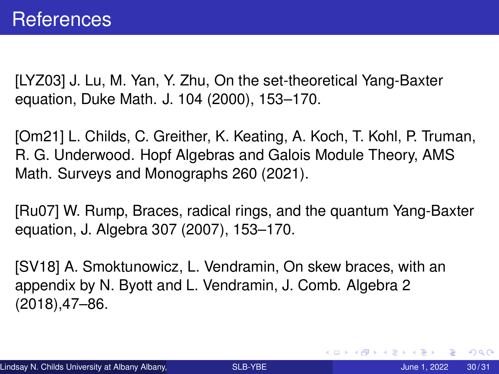[LYZ03] J. Lu, M. Yan, Y. Zhu, On the set-theoretical Yang-Baxter equation, Duke Math. J. 104 (2000), 153–170.

[Om21] L. Childs, C. Greither, K. Keating, A. Koch, T. Kohl, P. Truman, R. G. Underwood. Hopf Algebras and Galois Module Theory, AMS Math. Surveys and Monographs 260 (2021).

[Ru07] W. Rump, Braces, radical rings, and the quantum Yang-Baxter equation, J. Algebra 307 (2007), 153–170.

[SV18] A. Smoktunowicz, L. Vendramin, On skew braces, with an appendix by N. Byott and L. Vendramin, J. Comb. Algebra 2 (2018),47–86.

 $\Omega$ 

≮ロトメ部 トメミトメミト 一毛